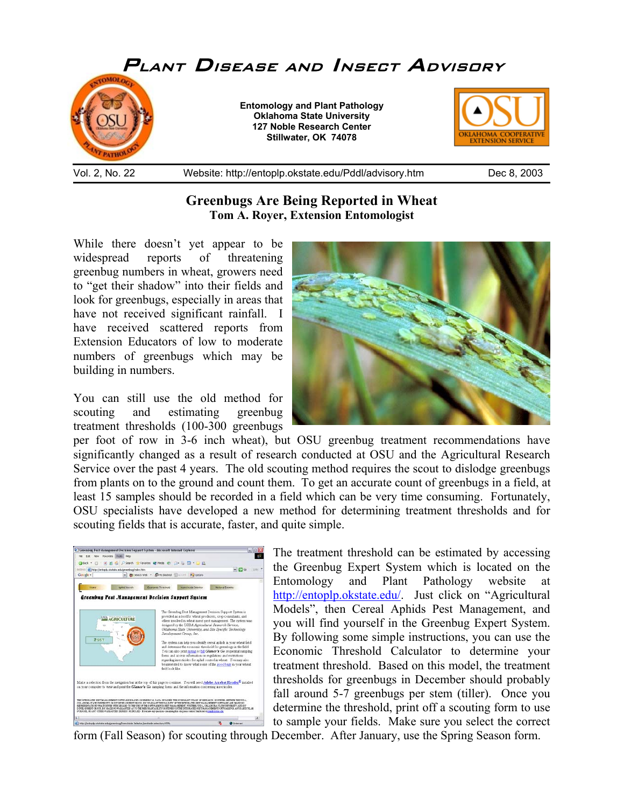

## **Greenbugs Are Being Reported in Wheat Tom A. Royer, Extension Entomologist**

While there doesn't yet appear to be widespread reports of threatening greenbug numbers in wheat, growers need to "get their shadow" into their fields and look for greenbugs, especially in areas that have not received significant rainfall. I have received scattered reports from Extension Educators of low to moderate numbers of greenbugs which may be building in numbers.

You can still use the old method for scouting and estimating greenbug treatment thresholds (100-300 greenbugs



per foot of row in 3-6 inch wheat), but OSU greenbug treatment recommendations have significantly changed as a result of research conducted at OSU and the Agricultural Research Service over the past 4 years. The old scouting method requires the scout to dislodge greenbugs from plants on to the ground and count them. To get an accurate count of greenbugs in a field, at least 15 samples should be recorded in a field which can be very time consuming. Fortunately, OSU specialists have developed a new method for determining treatment thresholds and for scouting fields that is accurate, faster, and quite simple.



The treatment threshold can be estimated by accessing the Greenbug Expert System which is located on the Entomology and Plant Pathology website at http://entoplp.okstate.edu/. Just click on "Agricultural Models", then Cereal Aphids Pest Management, and you will find yourself in the Greenbug Expert System. By following some simple instructions, you can use the Economic Threshold Calculator to determine your treatment threshold. Based on this model, the treatment thresholds for greenbugs in December should probably fall around 5-7 greenbugs per stem (tiller). Once you determine the threshold, print off a scouting form to use to sample your fields. Make sure you select the correct

form (Fall Season) for scouting through December. After January, use the Spring Season form.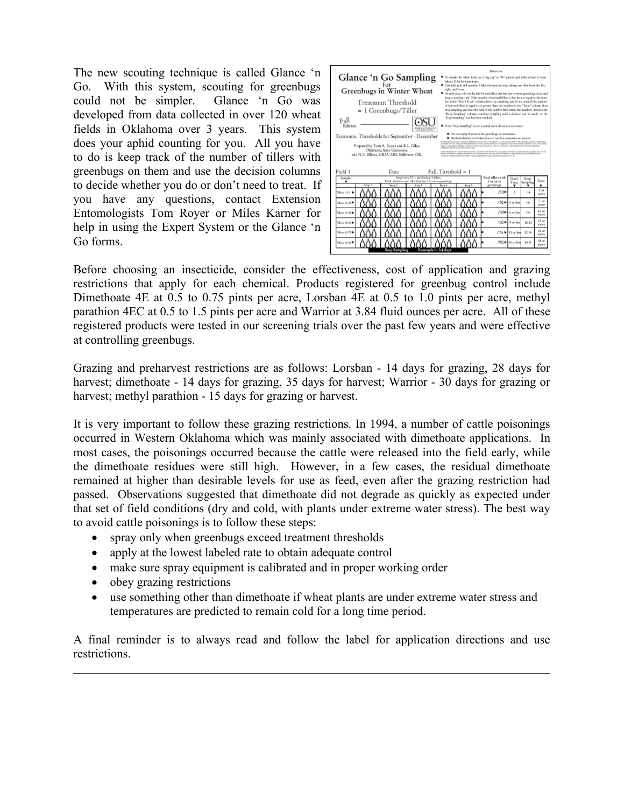The new scouting technique is called Glance 'n Go. With this system, scouting for greenbugs could not be simpler. Glance 'n Go was developed from data collected in over 120 wheat fields in Oklahoma over 3 years. This system does your aphid counting for you. All you have to do is keep track of the number of tillers with greenbugs on them and use the decision columns to decide whether you do or don't need to treat. If you have any questions, contact Extension Entomologists Tom Royer or Miles Karner for help in using the Expert System or the Glance 'n Go forms.

| Directions<br>Glance 'n Go Sampling<br>To earnly the wheat field, see a "sig sag" or "W" parters and walk at least 15 easys.<br>false at 20 ft) between stress.<br>for<br>Carefully pull and examine 3 tillers (neeral per step, taking one tiller from the left,<br>Greenbugs in Winter Wheat<br>richt, and fromt.<br>At each step, color in the leaf for each tiller that has one or more greenbugs on it, and<br>keep a running total. If the number of infested tillow is less than or equal to the num-<br>Treatment Threshold<br>ber in the "Don't Treat" column then stop sampling, and do not treat. If the matther<br>of inferred tillers is equal to or greater than the number in the "Treat" ordone then<br>= 1 Greenbugs/Tiller<br>stop sampling, and treat the field. If the number falls within the mambers listed in the<br>"Keep Surgiling" enkents, continue sampling until a decision can be made, or the<br>"Stop Sampling" box has been reached.<br>Fall<br>Edition<br>Fifthe "Stop Sampling" box is reached and a decision is not made:<br>> Do not spray if most of the growbags are manurales.<br>Economic Thresholds for September - December<br>> Bached; the field in 2-4 days if no or very few communies are present.<br>(Edwardton Strivenin incomform will SE-20 with this Following of the European School and a member School and<br>payment of 1975, approve this multiple air of 1996, and other boked form antique at my discrete and a major of any color and an antique<br>Prepared by Tom A. Royer and K.L. Giles,<br>statum age share, shares more commissions and transition parties a product. We include he tent incident calminists.<br>engineers, hourst and autofactional services<br>Oklahoma State University,<br>teachs behaves of Corporing transier was are of http://ed.htm 10, 114 incorporations/dide-115 Squareer of Aplicher, Am 11 Col.<br>Report of Children Corporate Internet Ambrid Abdung tract America Address, Schlasse. This publi<br>and N.C. Elliott, USDA-ARS, Stillwater, OK.<br>Interima advisedly between the Original April and Asiano and two at the arts 1911 A. |                                                                                                                         |  |  |  |                                              |                                       |           |                            |
|--------------------------------------------------------------------------------------------------------------------------------------------------------------------------------------------------------------------------------------------------------------------------------------------------------------------------------------------------------------------------------------------------------------------------------------------------------------------------------------------------------------------------------------------------------------------------------------------------------------------------------------------------------------------------------------------------------------------------------------------------------------------------------------------------------------------------------------------------------------------------------------------------------------------------------------------------------------------------------------------------------------------------------------------------------------------------------------------------------------------------------------------------------------------------------------------------------------------------------------------------------------------------------------------------------------------------------------------------------------------------------------------------------------------------------------------------------------------------------------------------------------------------------------------------------------------------------------------------------------------------------------------------------------------------------------------------------------------------------------------------------------------------------------------------------------------------------------------------------------------------------------------------------------------------------------------------------------------------------------------------------------------------------------------------------------------------------------------------------------------------------------------|-------------------------------------------------------------------------------------------------------------------------|--|--|--|----------------------------------------------|---------------------------------------|-----------|----------------------------|
| Field 1<br>Fall. Threshold $= 1$<br>Date                                                                                                                                                                                                                                                                                                                                                                                                                                                                                                                                                                                                                                                                                                                                                                                                                                                                                                                                                                                                                                                                                                                                                                                                                                                                                                                                                                                                                                                                                                                                                                                                                                                                                                                                                                                                                                                                                                                                                                                                                                                                                                   |                                                                                                                         |  |  |  |                                              |                                       |           |                            |
| Sample<br>٠<br>54.00                                                                                                                                                                                                                                                                                                                                                                                                                                                                                                                                                                                                                                                                                                                                                                                                                                                                                                                                                                                                                                                                                                                                                                                                                                                                                                                                                                                                                                                                                                                                                                                                                                                                                                                                                                                                                                                                                                                                                                                                                                                                                                                       | Stop every 30 ft, and look at 3 illiers<br>Mark a leaf for each tiller that has 1 or more greenbugs<br>Save 2<br>Stop 3 |  |  |  | Total tillers with<br>1 or more<br>greenbugs | Dou'r<br>Toyot<br>۰                   | Sumpling  | Tessi<br>۰                 |
| Tillians 1-15 h                                                                                                                                                                                                                                                                                                                                                                                                                                                                                                                                                                                                                                                                                                                                                                                                                                                                                                                                                                                                                                                                                                                                                                                                                                                                                                                                                                                                                                                                                                                                                                                                                                                                                                                                                                                                                                                                                                                                                                                                                                                                                                                            |                                                                                                                         |  |  |  | /15                                          | ٥                                     | $1 - 4$   | $5 - c$<br>raced           |
| Tilber, 16-32                                                                                                                                                                                                                                                                                                                                                                                                                                                                                                                                                                                                                                                                                                                                                                                                                                                                                                                                                                                                                                                                                                                                                                                                                                                                                                                                                                                                                                                                                                                                                                                                                                                                                                                                                                                                                                                                                                                                                                                                                                                                                                                              |                                                                                                                         |  |  |  |                                              | /30 ► 3 or less                       | 46        | 7 <sub>or</sub><br>more    |
| Tilber, 31-45 b.                                                                                                                                                                                                                                                                                                                                                                                                                                                                                                                                                                                                                                                                                                                                                                                                                                                                                                                                                                                                                                                                                                                                                                                                                                                                                                                                                                                                                                                                                                                                                                                                                                                                                                                                                                                                                                                                                                                                                                                                                                                                                                                           |                                                                                                                         |  |  |  |                                              | $/45$ b or less                       | 7.0       | 10 or<br><b>GYORN</b>      |
| Tillage 4640 le                                                                                                                                                                                                                                                                                                                                                                                                                                                                                                                                                                                                                                                                                                                                                                                                                                                                                                                                                                                                                                                                                                                                                                                                                                                                                                                                                                                                                                                                                                                                                                                                                                                                                                                                                                                                                                                                                                                                                                                                                                                                                                                            |                                                                                                                         |  |  |  |                                              | $/60$ $\blacktriangleright$ 9 or less | $10-12$   | 13 <sub>00</sub><br>ELODE  |
| Tilen 41-75                                                                                                                                                                                                                                                                                                                                                                                                                                                                                                                                                                                                                                                                                                                                                                                                                                                                                                                                                                                                                                                                                                                                                                                                                                                                                                                                                                                                                                                                                                                                                                                                                                                                                                                                                                                                                                                                                                                                                                                                                                                                                                                                |                                                                                                                         |  |  |  |                                              | $/75$ $\blacktriangleright$ 11 or les | $13-14$   | 15 <sub>ox</sub><br>raceve |
| fillen 76-92 <sup>9</sup>                                                                                                                                                                                                                                                                                                                                                                                                                                                                                                                                                                                                                                                                                                                                                                                                                                                                                                                                                                                                                                                                                                                                                                                                                                                                                                                                                                                                                                                                                                                                                                                                                                                                                                                                                                                                                                                                                                                                                                                                                                                                                                                  |                                                                                                                         |  |  |  | /90P                                         | 14 or les                             | $15 - 17$ | $15 \text{ or }$<br>more   |

Before choosing an insecticide, consider the effectiveness, cost of application and grazing restrictions that apply for each chemical. Products registered for greenbug control include Dimethoate 4E at 0.5 to 0.75 pints per acre, Lorsban 4E at 0.5 to 1.0 pints per acre, methyl parathion 4EC at 0.5 to 1.5 pints per acre and Warrior at 3.84 fluid ounces per acre. All of these registered products were tested in our screening trials over the past few years and were effective at controlling greenbugs.

Grazing and preharvest restrictions are as follows: Lorsban - 14 days for grazing, 28 days for harvest; dimethoate - 14 days for grazing, 35 days for harvest; Warrior - 30 days for grazing or harvest; methyl parathion - 15 days for grazing or harvest.

It is very important to follow these grazing restrictions. In 1994, a number of cattle poisonings occurred in Western Oklahoma which was mainly associated with dimethoate applications. In most cases, the poisonings occurred because the cattle were released into the field early, while the dimethoate residues were still high. However, in a few cases, the residual dimethoate remained at higher than desirable levels for use as feed, even after the grazing restriction had passed. Observations suggested that dimethoate did not degrade as quickly as expected under that set of field conditions (dry and cold, with plants under extreme water stress). The best way to avoid cattle poisonings is to follow these steps:

- spray only when greenbugs exceed treatment thresholds
- apply at the lowest labeled rate to obtain adequate control
- make sure spray equipment is calibrated and in proper working order
- obey grazing restrictions

 $\overline{a}$ 

• use something other than dimethoate if wheat plants are under extreme water stress and temperatures are predicted to remain cold for a long time period.

A final reminder is to always read and follow the label for application directions and use restrictions.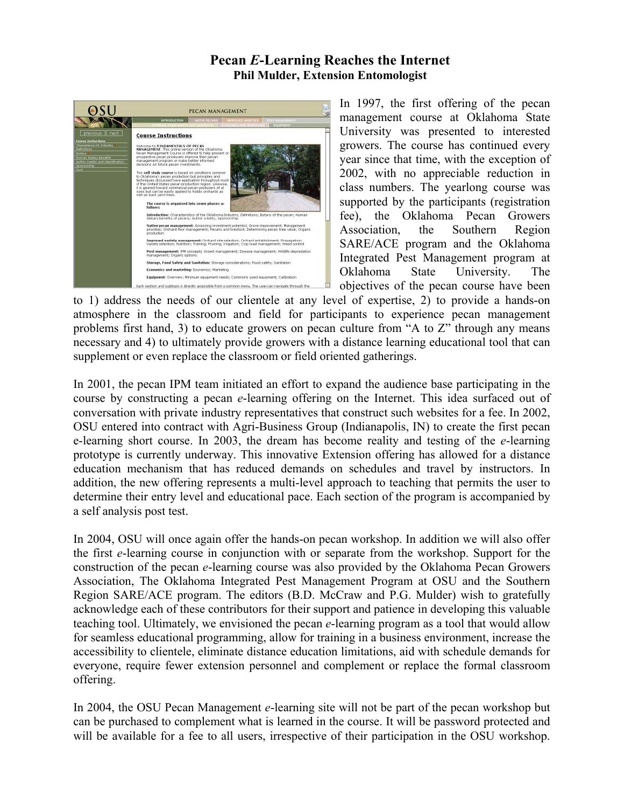## **Pecan** *E***-Learning Reaches the Internet Phil Mulder, Extension Entomologist**



In 1997, the first offering of the pecan management course at Oklahoma State University was presented to interested growers. The course has continued every year since that time, with the exception of 2002, with no appreciable reduction in class numbers. The yearlong course was supported by the participants (registration fee), the Oklahoma Pecan Growers Association, the Southern Region SARE/ACE program and the Oklahoma Integrated Pest Management program at Oklahoma State University. The objectives of the pecan course have been

to 1) address the needs of our clientele at any level of expertise, 2) to provide a hands-on atmosphere in the classroom and field for participants to experience pecan management problems first hand, 3) to educate growers on pecan culture from "A to Z" through any means necessary and 4) to ultimately provide growers with a distance learning educational tool that can supplement or even replace the classroom or field oriented gatherings.

In 2001, the pecan IPM team initiated an effort to expand the audience base participating in the course by constructing a pecan *e*-learning offering on the Internet. This idea surfaced out of conversation with private industry representatives that construct such websites for a fee. In 2002, OSU entered into contract with Agri-Business Group (Indianapolis, IN) to create the first pecan e-learning short course. In 2003, the dream has become reality and testing of the *e*-learning prototype is currently underway. This innovative Extension offering has allowed for a distance education mechanism that has reduced demands on schedules and travel by instructors. In addition, the new offering represents a multi-level approach to teaching that permits the user to determine their entry level and educational pace. Each section of the program is accompanied by a self analysis post test.

In 2004, OSU will once again offer the hands-on pecan workshop. In addition we will also offer the first *e*-learning course in conjunction with or separate from the workshop. Support for the construction of the pecan *e*-learning course was also provided by the Oklahoma Pecan Growers Association, The Oklahoma Integrated Pest Management Program at OSU and the Southern Region SARE/ACE program. The editors (B.D. McCraw and P.G. Mulder) wish to gratefully acknowledge each of these contributors for their support and patience in developing this valuable teaching tool. Ultimately, we envisioned the pecan *e*-learning program as a tool that would allow for seamless educational programming, allow for training in a business environment, increase the accessibility to clientele, eliminate distance education limitations, aid with schedule demands for everyone, require fewer extension personnel and complement or replace the formal classroom offering.

In 2004, the OSU Pecan Management *e*-learning site will not be part of the pecan workshop but can be purchased to complement what is learned in the course. It will be password protected and will be available for a fee to all users, irrespective of their participation in the OSU workshop.